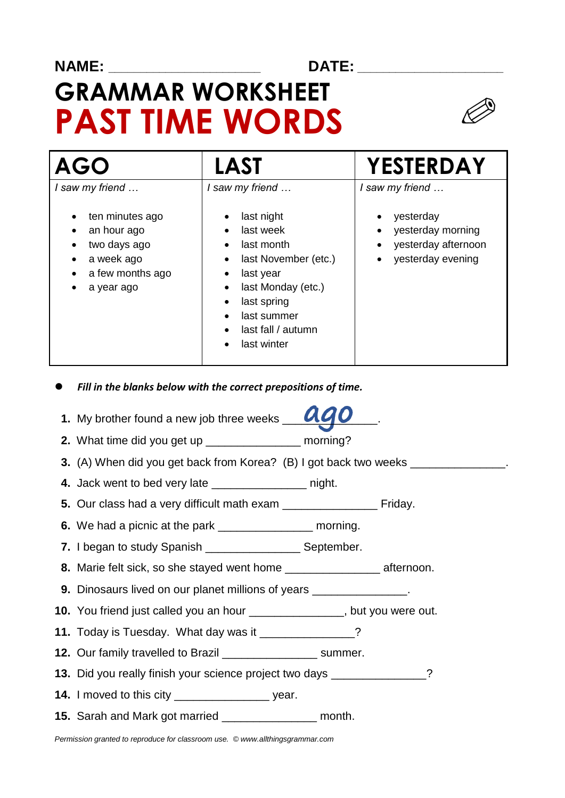### **NAME: \_\_\_\_\_\_\_\_\_\_\_\_\_\_\_\_\_\_\_\_\_\_\_\_ DATE: \_\_\_\_\_\_\_\_\_\_\_\_\_\_\_\_\_\_\_\_\_\_\_**

# **GRAMMAR WORKSHEET PAST TIME WORDS**



| <b>AGO</b>                                                                                                        | <b>LAST</b>                                                                                                                                                                                 | YESTERDAY                                                                                                               |
|-------------------------------------------------------------------------------------------------------------------|---------------------------------------------------------------------------------------------------------------------------------------------------------------------------------------------|-------------------------------------------------------------------------------------------------------------------------|
| I saw my friend<br>ten minutes ago<br>an hour ago<br>two days ago<br>a week ago<br>a few months ago<br>a year ago | I saw my friend<br>last night<br>last week<br>last month<br>last November (etc.)<br>٠<br>last year<br>last Monday (etc.)<br>last spring<br>last summer<br>last fall / autumn<br>last winter | I saw my friend<br>yesterday<br>yesterday morning<br>yesterday afternoon<br>$\bullet$<br>yesterday evening<br>$\bullet$ |

- *Fill in the blanks below with the correct prepositions of time.*
- 1. My brother found a new job three weeks **QQO**
- **2.** What time did you get up **example 2.** morning?
- **3.** (A) When did you get back from Korea? (B) I got back two weeks
- **4.** Jack went to bed very late \_\_\_\_\_\_\_\_\_\_\_\_\_\_\_ night.
- **5.** Our class had a very difficult math exam **contain the same of Friday.** Friday.
- **6.** We had a picnic at the park **container morning**.
- **7.** I began to study Spanish \_\_\_\_\_\_\_\_\_\_\_\_\_\_\_ September.
- **8.** Marie felt sick, so she stayed went home \_\_\_\_\_\_\_\_\_\_\_\_\_\_\_ afternoon.
- **9.** Dinosaurs lived on our planet millions of years \_\_\_\_\_\_\_\_\_\_\_\_\_\_.
- **10.** You friend just called you an hour \_\_\_\_\_\_\_\_\_\_\_\_\_\_\_, but you were out.
- **11.** Today is Tuesday. What day was it \_\_\_\_\_\_\_\_\_\_\_\_\_?
- **12.** Our family travelled to Brazil \_\_\_\_\_\_\_\_\_\_\_\_\_\_\_ summer.
- **13.** Did you really finish your science project two days \_\_\_\_\_\_\_\_\_\_\_\_\_\_\_?
- **14.** I moved to this city \_\_\_\_\_\_\_\_\_\_\_\_\_\_\_ year.
- **15.** Sarah and Mark got married \_\_\_\_\_\_\_\_\_\_\_\_\_\_\_ month.

*Permission granted to reproduce for classroom use. © www.allthingsgrammar.com*